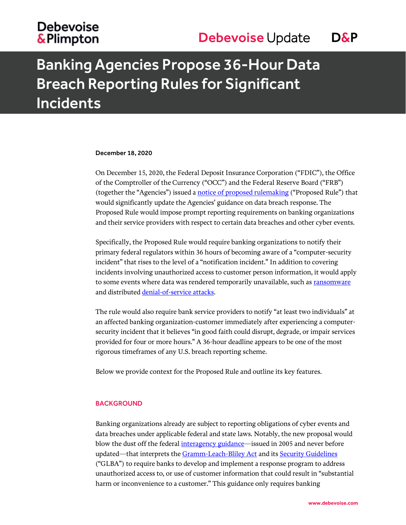## Banking Agencies Propose 36-Hour Data Breach Reporting Rules for Significant Incidents

#### December 18, 2020

On December 15, 2020, the Federal Deposit Insurance Corporation ("FDIC"), the Office of the Comptroller of the Currency ("OCC") and the Federal Reserve Board ("FRB") (together the "Agencies") issued a [notice of proposed rulemaking](https://www.fdic.gov/news/board/2020/2020-12-15-notice-sum-c-fr.pdf) ("Proposed Rule") that would significantly update the Agencies' guidance on data breach response. The Proposed Rule would impose prompt reporting requirements on banking organizations and their service providers with respect to certain data breaches and other cyber events.

Specifically, the Proposed Rule would require banking organizations to notify their primary federal regulators within 36 hours of becoming aware of a "computer-security incident" that rises to the level of a "notification incident." In addition to covering incidents involving unauthorized access to customer person information, it would apply to some events where data was rendered temporarily unavailable, such as [ransomware](https://www.debevoisedatablog.com/2020/06/18/preparing-for-and-responding-to-ransomware-attacks-thirteen-lessons-from-the-nist-framework-and-recent-events/) and distributed [denial-of-service attacks.](https://www.debevoisedatablog.com/2020/12/17/the-rise-of-ddos-ransom-attacks-how-to-prevent-and-respond/)

The rule would also require bank service providers to notify "at least two individuals" at an affected banking organization-customer immediately after experiencing a computersecurity incident that it believes "in good faith could disrupt, degrade, or impair services provided for four or more hours." A 36-hour deadline appears to be one of the most rigorous timeframes of any U.S. breach reporting scheme.

Below we provide context for the Proposed Rule and outline its key features.

#### **BACKGROUND**

Banking organizations already are subject to reporting obligations of cyber events and data breaches under applicable federal and state laws. Notably, the new proposal would blow the dust off the federal [interagency guidance](https://www.fdic.gov/news/financial-institution-letters/2005/fil2705a.pdf)—issued in 2005 and never before updated—that interprets the [Gramm-Leach-Bliley Act](https://www.fdic.gov/news/financial-institution-letters/2005/fil2705a.pdf) and its [Security Guidelines](https://www.fdic.gov/regulations/laws/rules/2000-8660.html) ("GLBA") to require banks to develop and implement a response program to address unauthorized access to, or use of customer information that could result in "substantial harm or inconvenience to a customer." This guidance only requires banking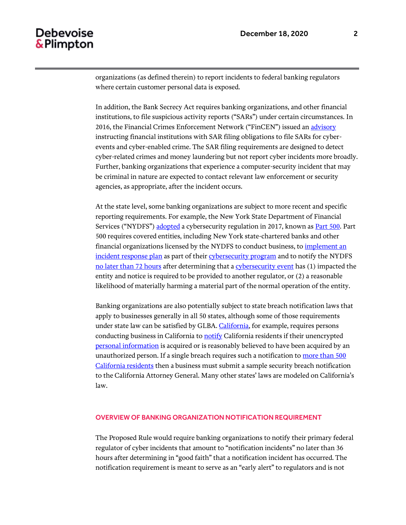organizations (as defined therein) to report incidents to federal banking regulators where certain customer personal data is exposed.

In addition, the Bank Secrecy Act requires banking organizations, and other financial institutions, to file suspicious activity reports ("SARs") under certain circumstances. In 2016, the Financial Crimes Enforcement Network ("FinCEN") issued an [advisory](https://www.fincen.gov/sites/default/files/advisory/2016-10-25/Cyber%20Threats%20Advisory%20-%20FINAL%20508_2.pdf) instructing financial institutions with SAR filing obligations to file SARs for cyberevents and cyber-enabled crime. The SAR filing requirements are designed to detect cyber-related crimes and money laundering but not report cyber incidents more broadly. Further, banking organizations that experience a computer-security incident that may be criminal in nature are expected to contact relevant law enforcement or security agencies, as appropriate, after the incident occurs.

At the state level, some banking organizations are subject to more recent and specific reporting requirements. For example, the New York State Department of Financial Services ("NYDFS") [adopted](https://www.dfs.ny.gov/system/files/documents/2019/01/cyber_memo_12212018.pdf) a cybersecurity regulation in 2017, known a[s Part 500.](https://govt.westlaw.com/nycrr/Browse/Home/NewYork/NewYorkCodesRulesandRegulations?guid=I5be30d2007f811e79d43a037eefd0011&originationContext=documenttoc&transitionType=Default&contextData=(sc.Default)) Part 500 requires covered entities, including New York state-chartered banks and other financial organizations licensed by the NYDFS to conduct business, t[o implement an](https://govt.westlaw.com/nycrr/Document/I60c644560d5f11e79781d30ba488e782?viewType=FullText&originationContext=documenttoc&transitionType=CategoryPageItem&contextData=(sc.Default)&bhcp=1)  [incident response plan](https://govt.westlaw.com/nycrr/Document/I60c644560d5f11e79781d30ba488e782?viewType=FullText&originationContext=documenttoc&transitionType=CategoryPageItem&contextData=(sc.Default)&bhcp=1) as part of their [cybersecurity program](https://govt.westlaw.com/nycrr/Document/I60c61d2b0d5f11e79781d30ba488e782?viewType=FullText&originationContext=documenttoc&transitionType=CategoryPageItem&contextData=(sc.Default)&bhcp=1) and to notify the NYDFS [no later than 72 hours](https://govt.westlaw.com/nycrr/Document/I60c644590d5f11e79781d30ba488e782?viewType=FullText&originationContext=documenttoc&transitionType=CategoryPageItem&contextData=(sc.Default)) after determining that [a cybersecurity event](https://govt.westlaw.com/nycrr/Document/I60c61d280d5f11e79781d30ba488e782?viewType=FullText&originationContext=documenttoc&transitionType=CategoryPageItem&contextData=(sc.Default)) has (1) impacted the entity and notice is required to be provided to another regulator, or (2) a reasonable likelihood of materially harming a material part of the normal operation of the entity.

Banking organizations are also potentially subject to state breach notification laws that apply to businesses generally in all 50 states, although some of those requirements under state law can be satisfied by GLBA. [California,](https://leginfo.legislature.ca.gov/faces/codes_displaySection.xhtml?lawCode=CIV§ionNum=1798.82) for example, requires persons conducting business in California to **notify** California residents if their unencrypted [personal information](https://leginfo.legislature.ca.gov/faces/codes_displayText.xhtml?division=3.&part=4.&lawCode=CIV&title=1.81.) is acquired or is reasonably believed to have been acquired by an unauthorized person. If a single breach requires such a notification to more [than 500](https://leginfo.legislature.ca.gov/faces/codes_displaySection.xhtml?lawCode=CIV§ionNum=1798.82#(f))  [California residents](https://leginfo.legislature.ca.gov/faces/codes_displaySection.xhtml?lawCode=CIV§ionNum=1798.82#(f)) then a business must submit a sample security breach notification to the California Attorney General. Many other states' laws are modeled on California's law.

#### OVERVIEW OF BANKING ORGANIZATION NOTIFICATION REQUIREMENT

The Proposed Rule would require banking organizations to notify their primary federal regulator of cyber incidents that amount to "notification incidents" no later than 36 hours after determining in "good faith" that a notification incident has occurred. The notification requirement is meant to serve as an "early alert" to regulators and is not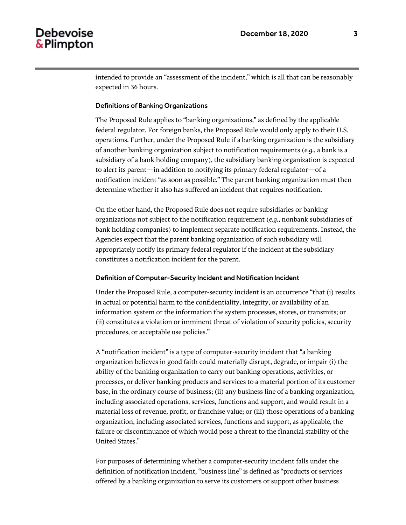intended to provide an "assessment of the incident," which is all that can be reasonably expected in 36 hours.

#### Definitions of Banking Organizations

The Proposed Rule applies to "banking organizations," as defined by the applicable federal regulator. For foreign banks, the Proposed Rule would only apply to their U.S. operations. Further, under the Proposed Rule if a banking organization is the subsidiary of another banking organization subject to notification requirements (*e.g.*, a bank is a subsidiary of a bank holding company), the subsidiary banking organization is expected to alert its parent—in addition to notifying its primary federal regulator—of a notification incident "as soon as possible." The parent banking organization must then determine whether it also has suffered an incident that requires notification.

On the other hand, the Proposed Rule does not require subsidiaries or banking organizations not subject to the notification requirement (*e.g.*, nonbank subsidiaries of bank holding companies) to implement separate notification requirements. Instead, the Agencies expect that the parent banking organization of such subsidiary will appropriately notify its primary federal regulator if the incident at the subsidiary constitutes a notification incident for the parent.

#### Definition of Computer-Security Incident and Notification Incident

Under the Proposed Rule, a computer-security incident is an occurrence "that (i) results in actual or potential harm to the confidentiality, integrity, or availability of an information system or the information the system processes, stores, or transmits; or (ii) constitutes a violation or imminent threat of violation of security policies, security procedures, or acceptable use policies."

A "notification incident" is a type of computer-security incident that "a banking organization believes in good faith could materially disrupt, degrade, or impair (i) the ability of the banking organization to carry out banking operations, activities, or processes, or deliver banking products and services to a material portion of its customer base, in the ordinary course of business; (ii) any business line of a banking organization, including associated operations, services, functions and support, and would result in a material loss of revenue, profit, or franchise value; or (iii) those operations of a banking organization, including associated services, functions and support, as applicable, the failure or discontinuance of which would pose a threat to the financial stability of the United States."

For purposes of determining whether a computer-security incident falls under the definition of notification incident, "business line" is defined as "products or services offered by a banking organization to serve its customers or support other business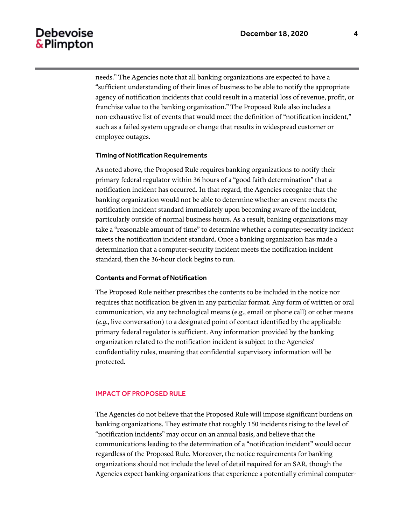needs." The Agencies note that all banking organizations are expected to have a "sufficient understanding of their lines of business to be able to notify the appropriate agency of notification incidents that could result in a material loss of revenue, profit, or franchise value to the banking organization." The Proposed Rule also includes a non-exhaustive list of events that would meet the definition of "notification incident," such as a failed system upgrade or change that results in widespread customer or employee outages.

#### Timing of Notification Requirements

As noted above, the Proposed Rule requires banking organizations to notify their primary federal regulator within 36 hours of a "good faith determination" that a notification incident has occurred. In that regard, the Agencies recognize that the banking organization would not be able to determine whether an event meets the notification incident standard immediately upon becoming aware of the incident, particularly outside of normal business hours. As a result, banking organizations may take a "reasonable amount of time" to determine whether a computer-security incident meets the notification incident standard. Once a banking organization has made a determination that a computer-security incident meets the notification incident standard, then the 36-hour clock begins to run.

#### Contents and Format of Notification

The Proposed Rule neither prescribes the contents to be included in the notice nor requires that notification be given in any particular format. Any form of written or oral communication, via any technological means (e.g., email or phone call) or other means (*e.g.*, live conversation) to a designated point of contact identified by the applicable primary federal regulator is sufficient. Any information provided by the banking organization related to the notification incident is subject to the Agencies' confidentiality rules, meaning that confidential supervisory information will be protected.

#### IMPACT OF PROPOSED RULE

The Agencies do not believe that the Proposed Rule will impose significant burdens on banking organizations. They estimate that roughly 150 incidents rising to the level of "notification incidents" may occur on an annual basis, and believe that the communications leading to the determination of a "notification incident" would occur regardless of the Proposed Rule. Moreover, the notice requirements for banking organizations should not include the level of detail required for an SAR, though the Agencies expect banking organizations that experience a potentially criminal computer-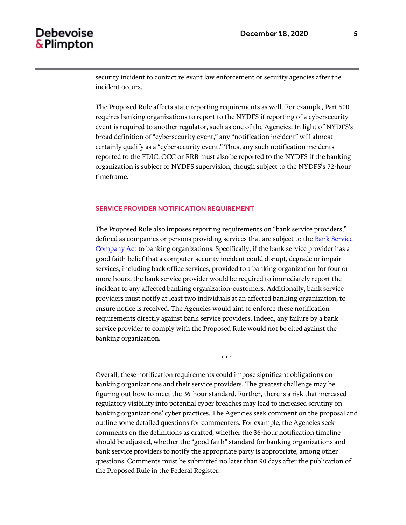security incident to contact relevant law enforcement or security agencies after the incident occurs.

The Proposed Rule affects state reporting requirements as well. For example, Part 500 requires banking organizations to report to the NYDFS if reporting of a cybersecurity event is required to another regulator, such as one of the Agencies. In light of NYDFS's broad definition of "cybersecurity event," any "notification incident" will almost certainly qualify as a "cybersecurity event." Thus, any such notification incidents reported to the FDIC, OCC or FRB must also be reported to the NYDFS if the banking organization is subject to NYDFS supervision, though subject to the NYDFS's 72-hour timeframe.

#### SERVICE PROVIDER NOTIFICATION REQUIREMENT

The Proposed Rule also imposes reporting requirements on "bank service providers," defined as companies or persons providing services that are subject to th[e Bank Service](https://www.govinfo.gov/content/pkg/USCODE-2018-title12/html/USCODE-2018-title12-chap18.htm)  [Company Act](https://www.govinfo.gov/content/pkg/USCODE-2018-title12/html/USCODE-2018-title12-chap18.htm) to banking organizations. Specifically, if the bank service provider has a good faith belief that a computer-security incident could disrupt, degrade or impair services, including back office services, provided to a banking organization for four or more hours, the bank service provider would be required to immediately report the incident to any affected banking organization-customers. Additionally, bank service providers must notify at least two individuals at an affected banking organization, to ensure notice is received. The Agencies would aim to enforce these notification requirements directly against bank service providers. Indeed, any failure by a bank service provider to comply with the Proposed Rule would not be cited against the banking organization.

\* \* \*

Overall, these notification requirements could impose significant obligations on banking organizations and their service providers. The greatest challenge may be figuring out how to meet the 36-hour standard. Further, there is a risk that increased regulatory visibility into potential cyber breaches may lead to increased scrutiny on banking organizations' cyber practices. The Agencies seek comment on the proposal and outline some detailed questions for commenters. For example, the Agencies seek comments on the definitions as drafted, whether the 36-hour notification timeline should be adjusted, whether the "good faith" standard for banking organizations and bank service providers to notify the appropriate party is appropriate, among other questions. Comments must be submitted no later than 90 days after the publication of the Proposed Rule in the Federal Register.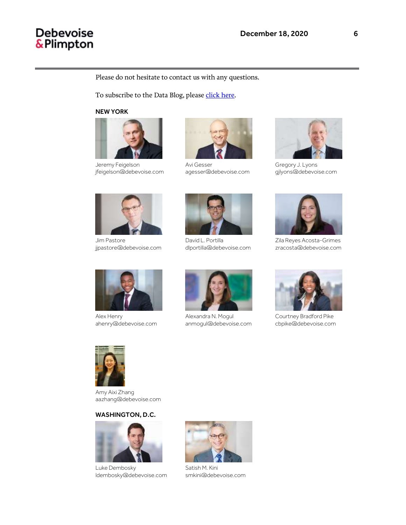#### Please do not hesitate to contact us with any questions.

To subscribe to the Data Blog, pleas[e click here.](https://media.debevoise.com/5/7/landing-pages/data-blog-subscription-page.asp)

NEW YORK



Jeremy Feigelson jfeigelson@debevoise.com



Jim Pastore jjpastore@debevoise.com



Alex Henry ahenry@debevoise.com



Avi Gesser agesser@debevoise.com



David L. Portilla dlportilla@debevoise.com



Alexandra N. Mogul anmogul@debevoise.com



Gregory J. Lyons gjlyons@debevoise.com



Zila Reyes Acosta-Grimes zracosta@debevoise.com



Courtney Bradford Pike cbpike@debevoise.com



Amy Aixi Zhang aazhang@debevoise.com

#### WASHINGTON, D.C.



Luke Dembosky ldembosky@debevoise.com



Satish M. Kini smkini@debevoise.com